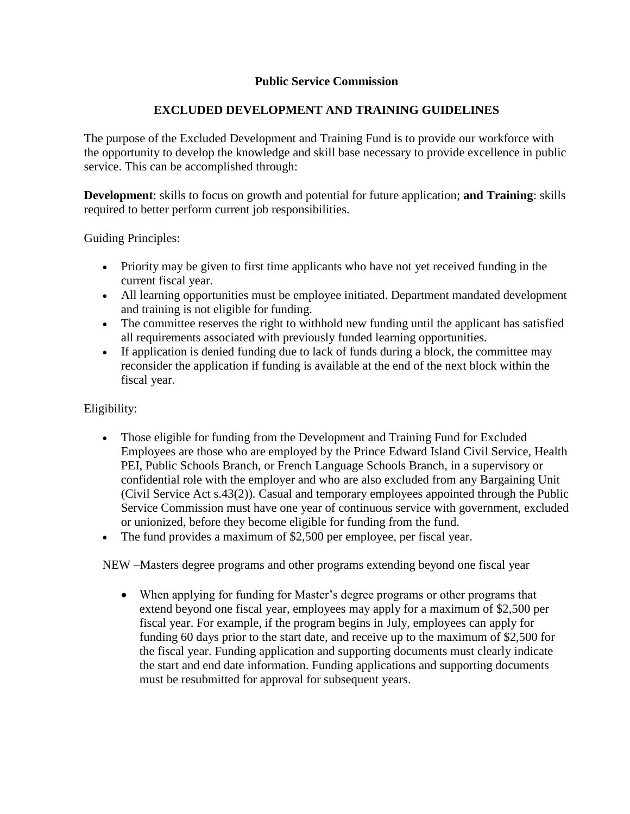### **Public Service Commission**

# **EXCLUDED DEVELOPMENT AND TRAINING GUIDELINES**

The purpose of the Excluded Development and Training Fund is to provide our workforce with the opportunity to develop the knowledge and skill base necessary to provide excellence in public service. This can be accomplished through:

**Development**: skills to focus on growth and potential for future application; **and Training**: skills required to better perform current job responsibilities.

Guiding Principles:

- Priority may be given to first time applicants who have not yet received funding in the current fiscal year.
- All learning opportunities must be employee initiated. Department mandated development and training is not eligible for funding.
- The committee reserves the right to withhold new funding until the applicant has satisfied all requirements associated with previously funded learning opportunities.
- If application is denied funding due to lack of funds during a block, the committee may reconsider the application if funding is available at the end of the next block within the fiscal year.

#### Eligibility:

- Those eligible for funding from the Development and Training Fund for Excluded Employees are those who are employed by the Prince Edward Island Civil Service, Health PEI, Public Schools Branch, or French Language Schools Branch, in a supervisory or confidential role with the employer and who are also excluded from any Bargaining Unit (Civil Service Act s.43(2)). Casual and temporary employees appointed through the Public Service Commission must have one year of continuous service with government, excluded or unionized, before they become eligible for funding from the fund.
- The fund provides a maximum of \$2,500 per employee, per fiscal year.

NEW –Masters degree programs and other programs extending beyond one fiscal year

 When applying for funding for Master's degree programs or other programs that extend beyond one fiscal year, employees may apply for a maximum of \$2,500 per fiscal year. For example, if the program begins in July, employees can apply for funding 60 days prior to the start date, and receive up to the maximum of \$2,500 for the fiscal year. Funding application and supporting documents must clearly indicate the start and end date information. Funding applications and supporting documents must be resubmitted for approval for subsequent years.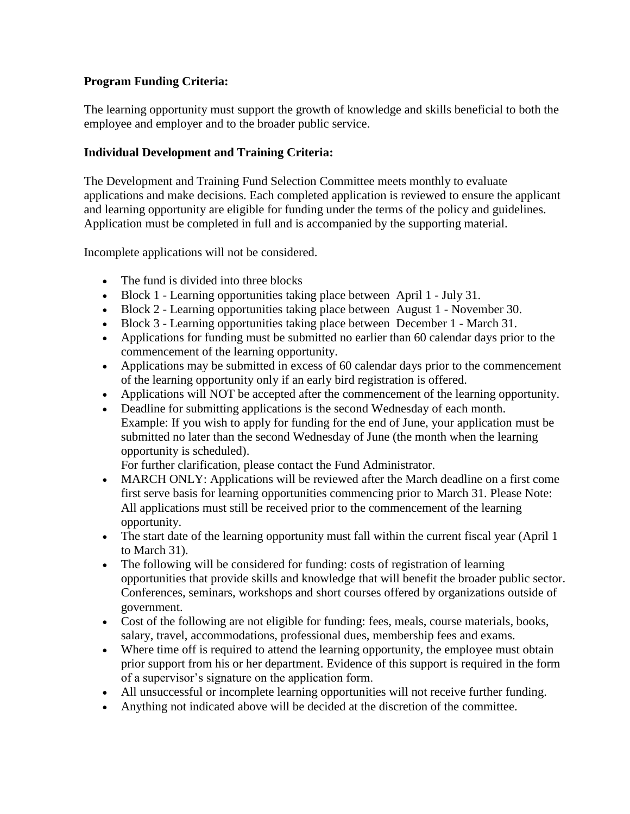# **Program Funding Criteria:**

The learning opportunity must support the growth of knowledge and skills beneficial to both the employee and employer and to the broader public service.

# **Individual Development and Training Criteria:**

The Development and Training Fund Selection Committee meets monthly to evaluate applications and make decisions. Each completed application is reviewed to ensure the applicant and learning opportunity are eligible for funding under the terms of the policy and guidelines. Application must be completed in full and is accompanied by the supporting material.

Incomplete applications will not be considered.

- The fund is divided into three blocks
- Block 1 Learning opportunities taking place between April 1 July 31.
- Block 2 Learning opportunities taking place between August 1 November 30.
- Block 3 Learning opportunities taking place between December 1 March 31.
- Applications for funding must be submitted no earlier than 60 calendar days prior to the commencement of the learning opportunity.
- Applications may be submitted in excess of 60 calendar days prior to the commencement of the learning opportunity only if an early bird registration is offered.
- Applications will NOT be accepted after the commencement of the learning opportunity.
- Deadline for submitting applications is the second Wednesday of each month. Example: If you wish to apply for funding for the end of June, your application must be submitted no later than the second Wednesday of June (the month when the learning opportunity is scheduled).

For further clarification, please contact the Fund Administrator.

- MARCH ONLY: Applications will be reviewed after the March deadline on a first come first serve basis for learning opportunities commencing prior to March 31. Please Note: All applications must still be received prior to the commencement of the learning opportunity.
- The start date of the learning opportunity must fall within the current fiscal year (April 1) to March 31).
- The following will be considered for funding: costs of registration of learning opportunities that provide skills and knowledge that will benefit the broader public sector. Conferences, seminars, workshops and short courses offered by organizations outside of government.
- Cost of the following are not eligible for funding: fees, meals, course materials, books, salary, travel, accommodations, professional dues, membership fees and exams.
- Where time off is required to attend the learning opportunity, the employee must obtain prior support from his or her department. Evidence of this support is required in the form of a supervisor's signature on the application form.
- All unsuccessful or incomplete learning opportunities will not receive further funding.
- Anything not indicated above will be decided at the discretion of the committee.